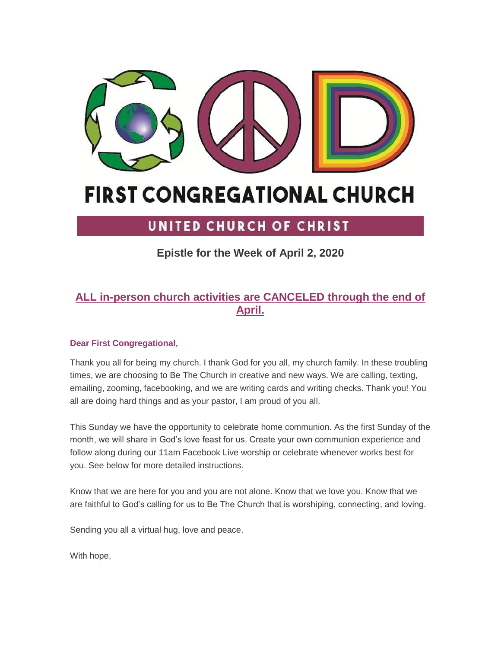

# **FIRST CONGREGATIONAL CHURCH**

## UNITED CHURCH OF CHRIST

**Epistle for the Week of April 2, 2020**

### **ALL in-person church activities are CANCELED through the end of April.**

#### **Dear First Congregational,**

Thank you all for being my church. I thank God for you all, my church family. In these troubling times, we are choosing to Be The Church in creative and new ways. We are calling, texting, emailing, zooming, facebooking, and we are writing cards and writing checks. Thank you! You all are doing hard things and as your pastor, I am proud of you all.

This Sunday we have the opportunity to celebrate home communion. As the first Sunday of the month, we will share in God's love feast for us. Create your own communion experience and follow along during our 11am Facebook Live worship or celebrate whenever works best for you. See below for more detailed instructions.

Know that we are here for you and you are not alone. Know that we love you. Know that we are faithful to God's calling for us to Be The Church that is worshiping, connecting, and loving.

Sending you all a virtual hug, love and peace.

With hope,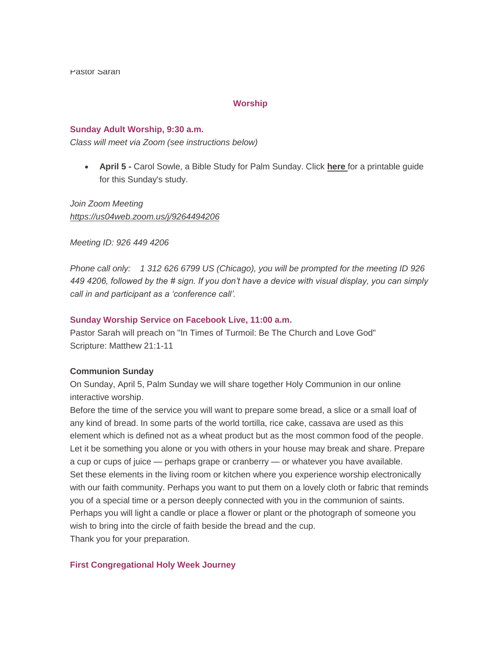Pastor Sarah

#### **Worship**

#### **Sunday Adult Worship, 9:30 a.m.**

*Class will meet via Zoom (see instructions below)*

 **April 5 -** Carol Sowle, a Bible Study for Palm Sunday. Click **[here](https://mcusercontent.com/7a2e4c501545b6d78729a64a1/files/8fe11705-0a32-42fb-a5e9-c7a2e61c92ed/palmsunday.pdf)** for a printable guide for this Sunday's study.

*Join Zoom Meeting <https://us04web.zoom.us/j/9264494206>*

*Meeting ID: 926 449 4206*

*Phone call only: 1 312 626 6799 US (Chicago), you will be prompted for the meeting ID 926 449 4206, followed by the # sign. If you don't have a device with visual display, you can simply call in and participant as a 'conference call'.*

#### **Sunday Worship Service on Facebook Live, 11:00 a.m.**

Pastor Sarah will preach on "In Times of Turmoil: Be The Church and Love God" Scripture: Matthew 21:1-11

#### **Communion Sunday**

On Sunday, April 5, Palm Sunday we will share together Holy Communion in our online interactive worship.

Before the time of the service you will want to prepare some bread, a slice or a small loaf of any kind of bread. In some parts of the world tortilla, rice cake, cassava are used as this element which is defined not as a wheat product but as the most common food of the people. Let it be something you alone or you with others in your house may break and share. Prepare a cup or cups of juice — perhaps grape or cranberry — or whatever you have available. Set these elements in the living room or kitchen where you experience worship electronically with our faith community. Perhaps you want to put them on a lovely cloth or fabric that reminds you of a special time or a person deeply connected with you in the communion of saints. Perhaps you will light a candle or place a flower or plant or the photograph of someone you wish to bring into the circle of faith beside the bread and the cup. Thank you for your preparation.

#### **First Congregational Holy Week Journey**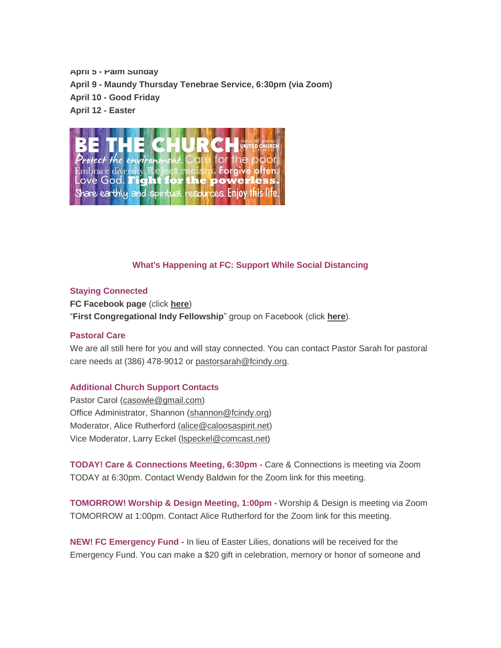**April 5 - Palm Sunday April 9 - Maundy Thursday Tenebrae Service, 6:30pm (via Zoom) April 10 - Good Friday April 12 - Easter**



#### **What's Happening at FC: Support While Social Distancing**

#### **Staying Connected**

**FC Facebook page** (click **[here](https://www.facebook.com/FirstCongregationalUCCIndy/)**) "**First Congregational Indy Fellowship**" group on Facebook (click **[here](https://www.facebook.com/groups/521333455186422/)**).

#### **Pastoral Care**

We are all still here for you and will stay connected. You can contact Pastor Sarah for pastoral care needs at (386) 478-9012 or [pastorsarah@fcindy.org.](mailto:pastorsarah@fcindy.org)

#### **Additional Church Support Contacts**

Pastor Carol [\(casowle@gmail.com\)](mailto:casowle@gmail.com) Office Administrator, Shannon [\(shannon@fcindy.org\)](mailto:shannon@fcindy.org) Moderator, Alice Rutherford [\(alice@caloosaspirit.net\)](mailto:alice@caloosaspirit.net) Vice Moderator, Larry Eckel [\(lspeckel@comcast.net\)](mailto:lspeckel@comcast.net)

**TODAY! Care & Connections Meeting, 6:30pm -** Care & Connections is meeting via Zoom TODAY at 6:30pm. Contact Wendy Baldwin for the Zoom link for this meeting.

**TOMORROW! Worship & Design Meeting, 1:00pm -** Worship & Design is meeting via Zoom TOMORROW at 1:00pm. Contact Alice Rutherford for the Zoom link for this meeting.

**NEW! FC Emergency Fund -** In lieu of Easter Lilies, donations will be received for the Emergency Fund. You can make a \$20 gift in celebration, memory or honor of someone and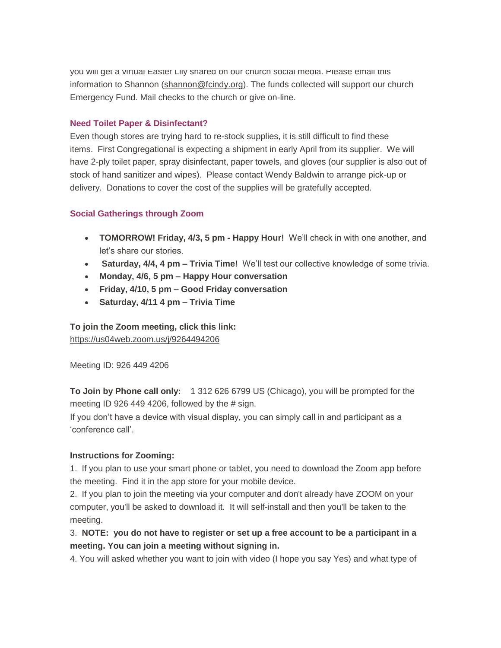you will get a virtual Easter Lily shared on our church social media. Please email this information to Shannon [\(shannon@fcindy.org\)](mailto:shannon@fcindy.org). The funds collected will support our church Emergency Fund. Mail checks to the church or give on-line.

#### **Need Toilet Paper & Disinfectant?**

Even though stores are trying hard to re-stock supplies, it is still difficult to find these items. First Congregational is expecting a shipment in early April from its supplier. We will have 2-ply toilet paper, spray disinfectant, paper towels, and gloves (our supplier is also out of stock of hand sanitizer and wipes). Please contact Wendy Baldwin to arrange pick-up or delivery. Donations to cover the cost of the supplies will be gratefully accepted.

#### **Social Gatherings through Zoom**

- **TOMORROW! Friday, 4/3, 5 pm - Happy Hour!** We'll check in with one another, and let's share our stories.
- **Saturday, 4/4, 4 pm – Trivia Time!** We'll test our collective knowledge of some trivia.
- **Monday, 4/6, 5 pm – Happy Hour conversation**
- **Friday, 4/10, 5 pm – Good Friday conversation**
- **Saturday, 4/11 4 pm – Trivia Time**

**To join the Zoom meeting, click this link:** [https://us04web.zoom.us/j/9264494206](https://fcindy.us16.list-manage.com/track/click?u=7a2e4c501545b6d78729a64a1&id=eba4701a14&e=53767d4f8e)

Meeting ID: 926 449 4206

**To Join by Phone call only:** 1 312 626 6799 US (Chicago), you will be prompted for the meeting ID 926 449 4206, followed by the  $\#$  sign.

If you don't have a device with visual display, you can simply call in and participant as a 'conference call'.

#### **Instructions for Zooming:**

1. If you plan to use your smart phone or tablet, you need to download the Zoom app before the meeting. Find it in the app store for your mobile device.

2. If you plan to join the meeting via your computer and don't already have ZOOM on your computer, you'll be asked to download it. It will self-install and then you'll be taken to the meeting.

3. **NOTE: you do not have to register or set up a free account to be a participant in a meeting. You can join a meeting without signing in.**

4. You will asked whether you want to join with video (I hope you say Yes) and what type of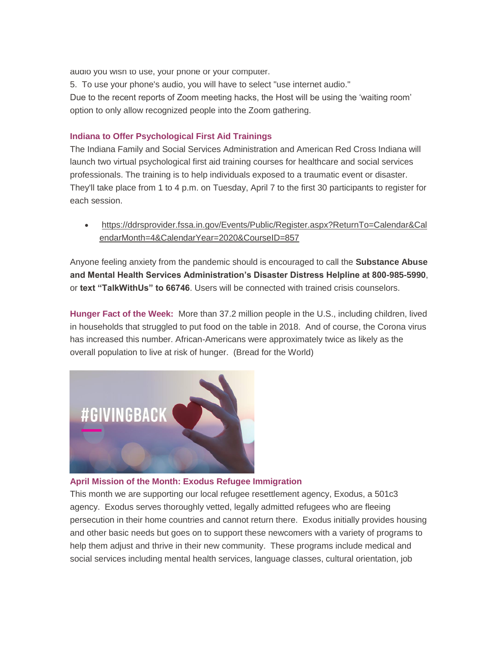audio you wish to use, your phone or your computer.

5. To use your phone's audio, you will have to select "use internet audio." Due to the recent reports of Zoom meeting hacks, the Host will be using the 'waiting room' option to only allow recognized people into the Zoom gathering.

#### **Indiana to Offer Psychological First Aid Trainings**

The Indiana Family and Social Services Administration and American Red Cross Indiana will launch two virtual psychological first aid training courses for healthcare and social services professionals. The training is to help individuals exposed to a traumatic event or disaster. They'll take place from 1 to 4 p.m. on Tuesday, April 7 to the first 30 participants to register for each session.

 [https://ddrsprovider.fssa.in.gov/Events/Public/Register.aspx?ReturnTo=Calendar&Cal](https://ddrsprovider.fssa.in.gov/Events/Public/Register.aspx?ReturnTo=Calendar&CalendarMonth=4&CalendarYear=2020&CourseID=857) [endarMonth=4&CalendarYear=2020&CourseID=857](https://ddrsprovider.fssa.in.gov/Events/Public/Register.aspx?ReturnTo=Calendar&CalendarMonth=4&CalendarYear=2020&CourseID=857)

Anyone feeling anxiety from the pandemic should is encouraged to call the **Substance Abuse and Mental Health Services Administration's Disaster Distress Helpline at 800-985-5990**, or **text "TalkWithUs" to 66746**. Users will be connected with trained crisis counselors.

**Hunger Fact of the Week:** More than 37.2 million people in the U.S., including children, lived in households that struggled to put food on the table in 2018. And of course, the Corona virus has increased this number. African-Americans were approximately twice as likely as the overall population to live at risk of hunger. (Bread for the World)



#### **April Mission of the Month: Exodus Refugee Immigration**

This month we are supporting our local refugee resettlement agency, Exodus, a 501c3 agency. Exodus serves thoroughly vetted, legally admitted refugees who are fleeing persecution in their home countries and cannot return there. Exodus initially provides housing and other basic needs but goes on to support these newcomers with a variety of programs to help them adjust and thrive in their new community. These programs include medical and social services including mental health services, language classes, cultural orientation, job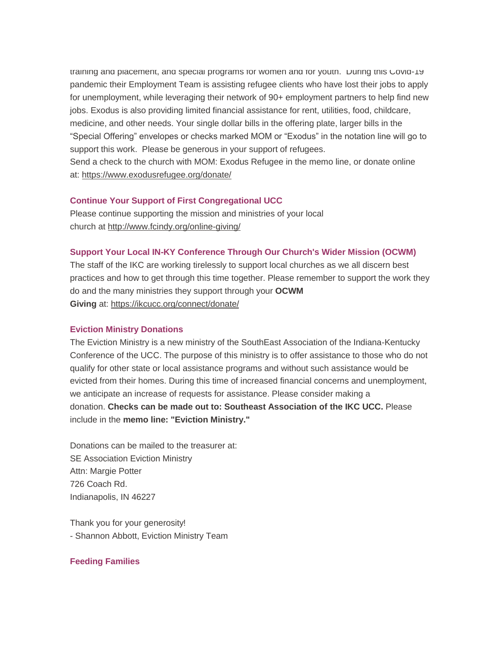training and placement, and special programs for women and for youth. During this Covid-19 pandemic their Employment Team is assisting refugee clients who have lost their jobs to apply for unemployment, while leveraging their network of 90+ employment partners to help find new jobs. Exodus is also providing limited financial assistance for rent, utilities, food, childcare, medicine, and other needs. Your single dollar bills in the offering plate, larger bills in the "Special Offering" envelopes or checks marked MOM or "Exodus" in the notation line will go to support this work. Please be generous in your support of refugees. Send a check to the church with MOM: Exodus Refugee in the memo line, or donate online at: <https://www.exodusrefugee.org/donate/>

#### **Continue Your Support of First Congregational UCC**

Please continue supporting the mission and ministries of your local church at <http://www.fcindy.org/online-giving/>

#### **Support Your Local IN-KY Conference Through Our Church's Wider Mission (OCWM)**

The staff of the IKC are working tirelessly to support local churches as we all discern best practices and how to get through this time together. Please remember to support the work they do and the many ministries they support through your **OCWM Giving** at: <https://ikcucc.org/connect/donate/>

#### **Eviction Ministry Donations**

The Eviction Ministry is a new ministry of the SouthEast Association of the Indiana-Kentucky Conference of the UCC. The purpose of this ministry is to offer assistance to those who do not qualify for other state or local assistance programs and without such assistance would be evicted from their homes. During this time of increased financial concerns and unemployment, we anticipate an increase of requests for assistance. Please consider making a donation. **Checks can be made out to: Southeast Association of the IKC UCC.** Please include in the **memo line: "Eviction Ministry."**

Donations can be mailed to the treasurer at: SE Association Eviction Ministry Attn: Margie Potter 726 Coach Rd. Indianapolis, IN 46227

Thank you for your generosity! - Shannon Abbott, Eviction Ministry Team

#### **Feeding Families**